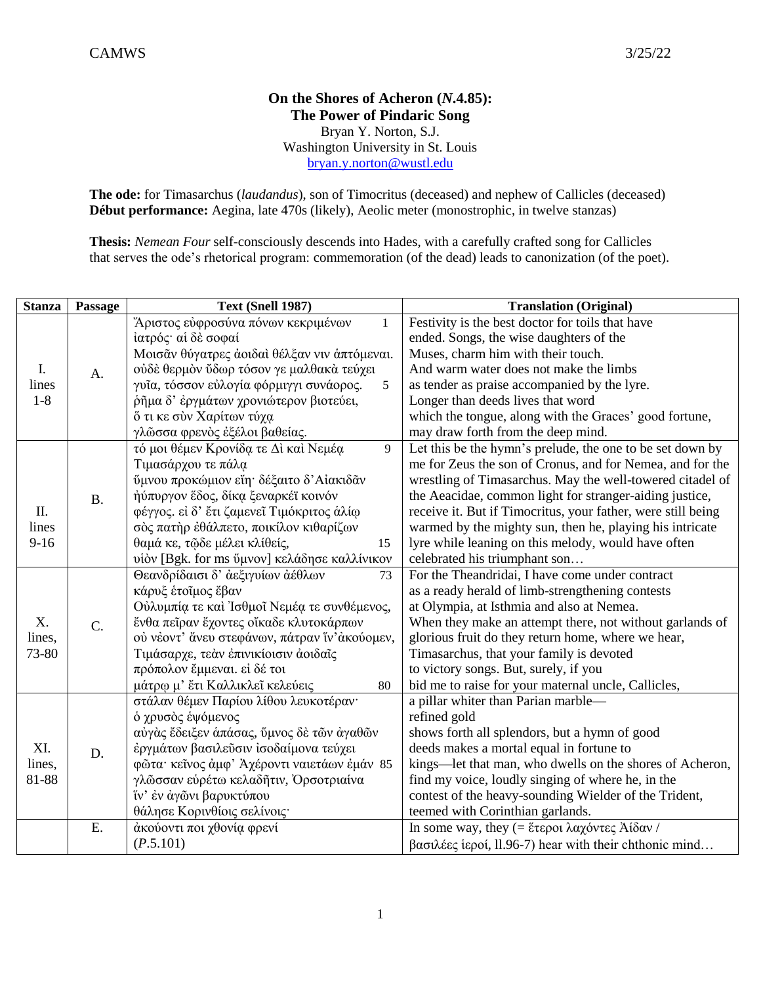## **On the Shores of Acheron (***N***.4.85): The Power of Pindaric Song** Bryan Y. Norton, S.J. Washington University in St. Louis [bryan.y.norton@wustl.edu](mailto:bryan.y.norton@wustl.edu)

**The ode:** for Timasarchus (*laudandus*), son of Timocritus (deceased) and nephew of Callicles (deceased) **Début performance:** Aegina, late 470s (likely), Aeolic meter (monostrophic, in twelve stanzas)

**Thesis:** *Nemean Four* self-consciously descends into Hades, with a carefully crafted song for Callicles that serves the ode's rhetorical program: commemoration (of the dead) leads to canonization (of the poet).

| <b>Stanza</b>          | Passage   | Text (Snell 1987)                                  | <b>Translation (Original)</b>                                |
|------------------------|-----------|----------------------------------------------------|--------------------------------------------------------------|
| I.<br>lines<br>$1-8$   | А.        | Άριστος εύφροσύνα πόνων κεκριμένων<br>$\mathbf{1}$ | Festivity is the best doctor for toils that have             |
|                        |           | ίατρός αί δε σοφαί                                 | ended. Songs, the wise daughters of the                      |
|                        |           | Μοισάν θύγατρες άοιδαί θέλξαν νιν άπτόμεναι.       | Muses, charm him with their touch.                           |
|                        |           | ούδε θερμον ύδωρ τόσον γε μαλθακά τεύχει           | And warm water does not make the limbs                       |
|                        |           | γυΐα, τόσσον εύλογία φόρμιγγι συνάορος.<br>5       | as tender as praise accompanied by the lyre.                 |
|                        |           | ρημα δ' έργμάτων χρονιώτερον βιοτεύει,             | Longer than deeds lives that word                            |
|                        |           | ὄ τι κε σύν Χαρίτων τύχα                           | which the tongue, along with the Graces' good fortune,       |
|                        |           | γλῶσσα φρενὸς ἐξέλοι βαθείας.                      | may draw forth from the deep mind.                           |
| Π.<br>lines<br>$9-16$  | <b>B.</b> | τό μοι θέμεν Κρονίδα τε Δι και Νεμέα<br>9          | Let this be the hymn's prelude, the one to be set down by    |
|                        |           | Τιμασάρχου τε πάλα                                 | me for Zeus the son of Cronus, and for Nemea, and for the    |
|                        |           | ύμνου προκώμιον είη· δέξαιτο δ'Αίακιδάν            | wrestling of Timasarchus. May the well-towered citadel of    |
|                        |           | ήύπυργον έδος, δίκα ξεναρκέϊ κοινόν                | the Aeacidae, common light for stranger-aiding justice,      |
|                        |           | φέγγος. εί δ' έτι ζαμενεῖ Τιμόκριτος άλίω          | receive it. But if Timocritus, your father, were still being |
|                        |           | σός πατήρ έθάλπετο, ποικίλον κιθαρίζων             | warmed by the mighty sun, then he, playing his intricate     |
|                        |           | θαμά κε, τῷδε μέλει κλίθείς,<br>15                 | lyre while leaning on this melody, would have often          |
|                        |           | υίον [Bgk. for ms ύμνον] κελάδησε καλλίνικον       | celebrated his triumphant son                                |
| X.<br>lines,<br>73-80  | C.        | Θεανδρίδαισι δ' άεξιγυίων άέθλων<br>73             | For the Theandridai, I have come under contract              |
|                        |           | κάρυξ ετοίμος έβαν                                 | as a ready herald of limb-strengthening contests             |
|                        |           | Ούλυμπία τε και Ίσθμοΐ Νεμέα τε συνθέμενος,        | at Olympia, at Isthmia and also at Nemea.                    |
|                        |           | ένθα πείραν έχοντες οίκαδε κλυτοκάρπων             | When they make an attempt there, not without garlands of     |
|                        |           | ού νέοντ' άνευ στεφάνων, πάτραν ίν' άκούομεν,      | glorious fruit do they return home, where we hear,           |
|                        |           | Τιμάσαρχε, τεάν έπινικίοισιν άοιδαΐς               | Timasarchus, that your family is devoted                     |
|                        |           | πρόπολον έμμεναι. εί δέ τοι                        | to victory songs. But, surely, if you                        |
|                        |           | μάτρω μ' έτι Καλλικλεϊ κελεύεις<br>80              | bid me to raise for your maternal uncle, Callicles,          |
| XI.<br>lines,<br>81-88 | D.        | στάλαν θέμεν Παρίου λίθου λευκοτέραν·              | a pillar whiter than Parian marble-                          |
|                        |           | ό χρυσός έψόμενος                                  | refined gold                                                 |
|                        |           | αύγας έδειξεν απάσας, ύμνος δε των αγαθών          | shows forth all splendors, but a hymn of good                |
|                        |           | έργμάτων βασιλεύσιν ισοδαίμονα τεύχει              | deeds makes a mortal equal in fortune to                     |
|                        |           | φῶτα κείνος άμφ' Αχέροντι ναιετάων έμάν 85         | kings—let that man, who dwells on the shores of Acheron,     |
|                        |           | γλώσσαν ευρέτω κελαδήτιν, Ορσοτριαίνα              | find my voice, loudly singing of where he, in the            |
|                        |           | ϊν' έν άγωνι βαρυκτύπου                            | contest of the heavy-sounding Wielder of the Trident,        |
|                        |           | θάλησε Κορινθίοις σελίνοις·                        | teemed with Corinthian garlands.                             |
|                        | E.        | άκούοντι ποι χθονία φρενί                          | In some way, they (= έτεροι λαχόντες Αίδαν /                 |
|                        |           | (P.5.101)                                          | βασιλέες ίεροί, 11.96-7) hear with their chthonic mind       |